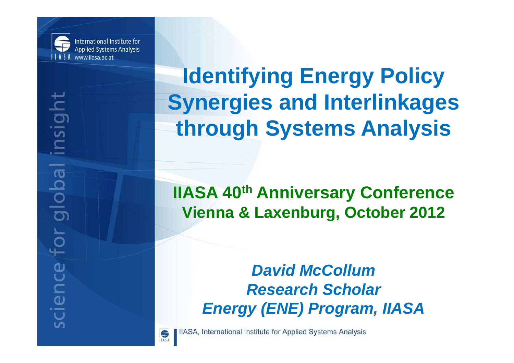

International Institute for **Applied Systems Analysis** www.ijasa.ac.at

**Identifying Energy Policy Synergies and Interlinkagesthrough Systems Analysis**

**IIASA 40th Anniversary ConferenceVienna & Laxenburg, October 2012**

> **David McCollum Research ScholarEnergy (ENE) Program, IIASA**



**IlASA, International Institute for Applied Systems Analysis**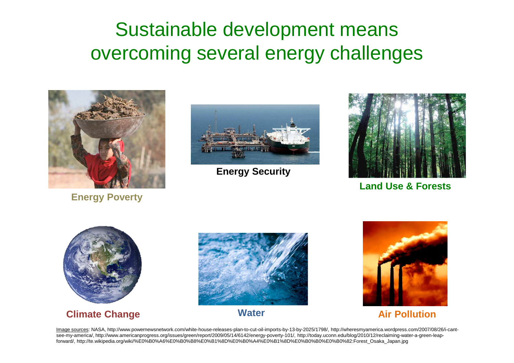## Sustainable development means overcoming several energy challenges



**Energy Poverty**



**Energy Security**



**Land Use & Forests**



**Climate Change**



**Water**



**Air Pollution**

Image sources: NASA, http://www.powernewsnetwork.com/white-house-releases-plan-to-cut-oil-imports-by-13-by-2025/1798/, http://wheresmyamerica.wordpress.com/2007/08/26/i-cantsee-my-america/, http://www.americanprogress.org/issues/green/report/2009/05/14/6142/energy-poverty-101/, http://today.uconn.edu/blog/2010/12/reclaiming-water-a-green-leapforward/, http://te.wikipedia.org/wiki/%E0%B0%A6%E0%B0%B8%E0%B1%8D%E0%B0%A4%E0%B1%8D%E0%B0%B0%E0%B0%82:Forest\_Osaka\_Japan.jpg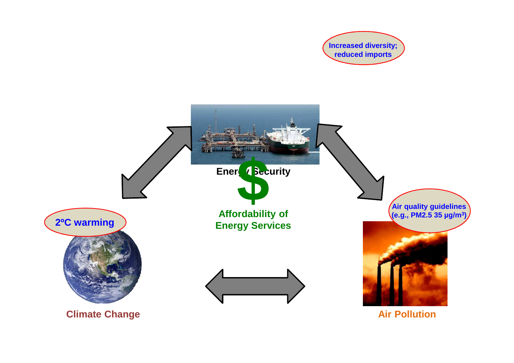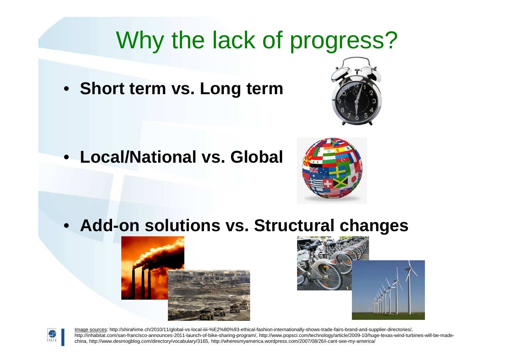# Why the lack of progress?

• **Short term vs. Long term**

• **Local/National vs. Global**



• **Add-on solutions vs. Structural changes**







Image sources: http://shirahime.ch/2010/11/global-vs-local-iiii-%E2%80%93-ethical-fashion-internationally-shows-trade-fairs-brand-and-supplier-directories/, http://inhabitat.com/san-francisco-announces-2011-launch-of-bike-sharing-program/, http://www.popsci.com/technology/article/2009-10/huge-texas-wind-turbines-will-be-madechina, http://www.desmogblog.com/directory/vocabulary/3165, http://wheresmyamerica.wordpress.com/2007/08/26/i-cant-see-my-america/

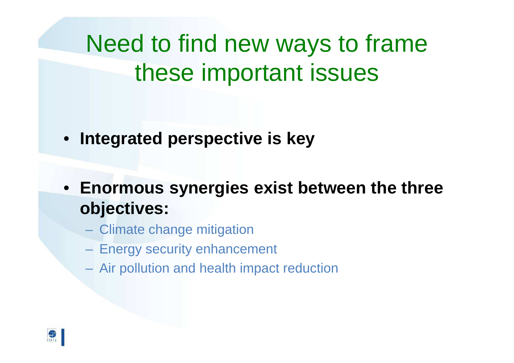Need to find new ways to frame these important issues

- **Integrated perspective is key**
- **Enormous synergies exist between the three objectives:**
	- Climate change mitigation
	- and the contract of the con-Energy security enhancement
	- Air pollution and health impact reduction

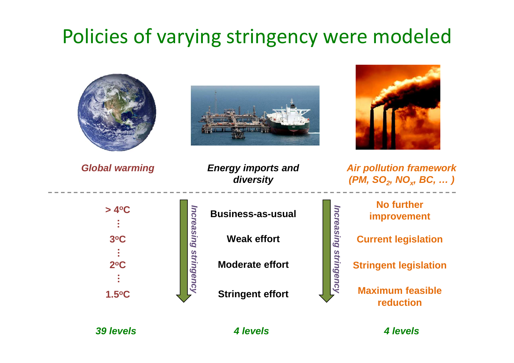## Policies of varying stringency were modeled



**39 levels 4 levels 4 levels**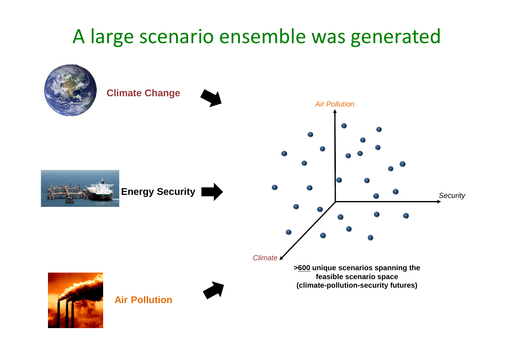## A large scenario ensemble was generated

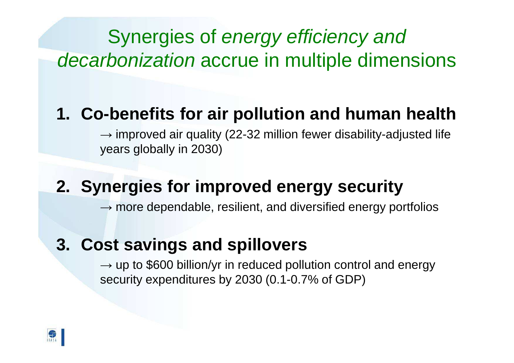# Synergies of energy efficiency and decarbonization accrue in multiple dimensions

#### **1. Co-benefits for air pollution and human health**

 $\rightarrow$  improved air quality (22-32 million fewer disability-adjusted life years globally in 2030)

### **2. Synergies for improved energy security**

 $\rightarrow$  more dependable, resilient, and diversified energy portfolios

### **3. Cost savings and spillovers**

 $\rightarrow$  up to \$600 billion/yr in reduced pollution control and energy security expenditures by 2030 (0.1-0.7% of GDP)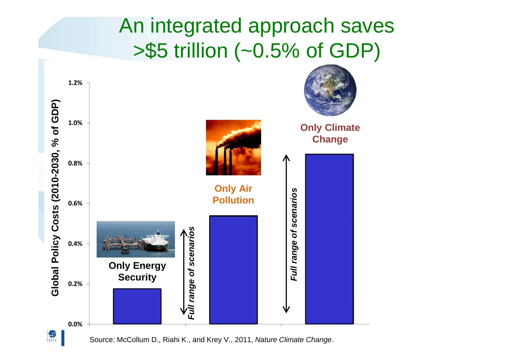## An integrated approach saves >\$5 trillion (~0.5% of GDP)



Source: McCollum D., Riahi K., and Krey V., 2011, Nature Climate Change.

 $\frac{1}{\sqrt{3}}$